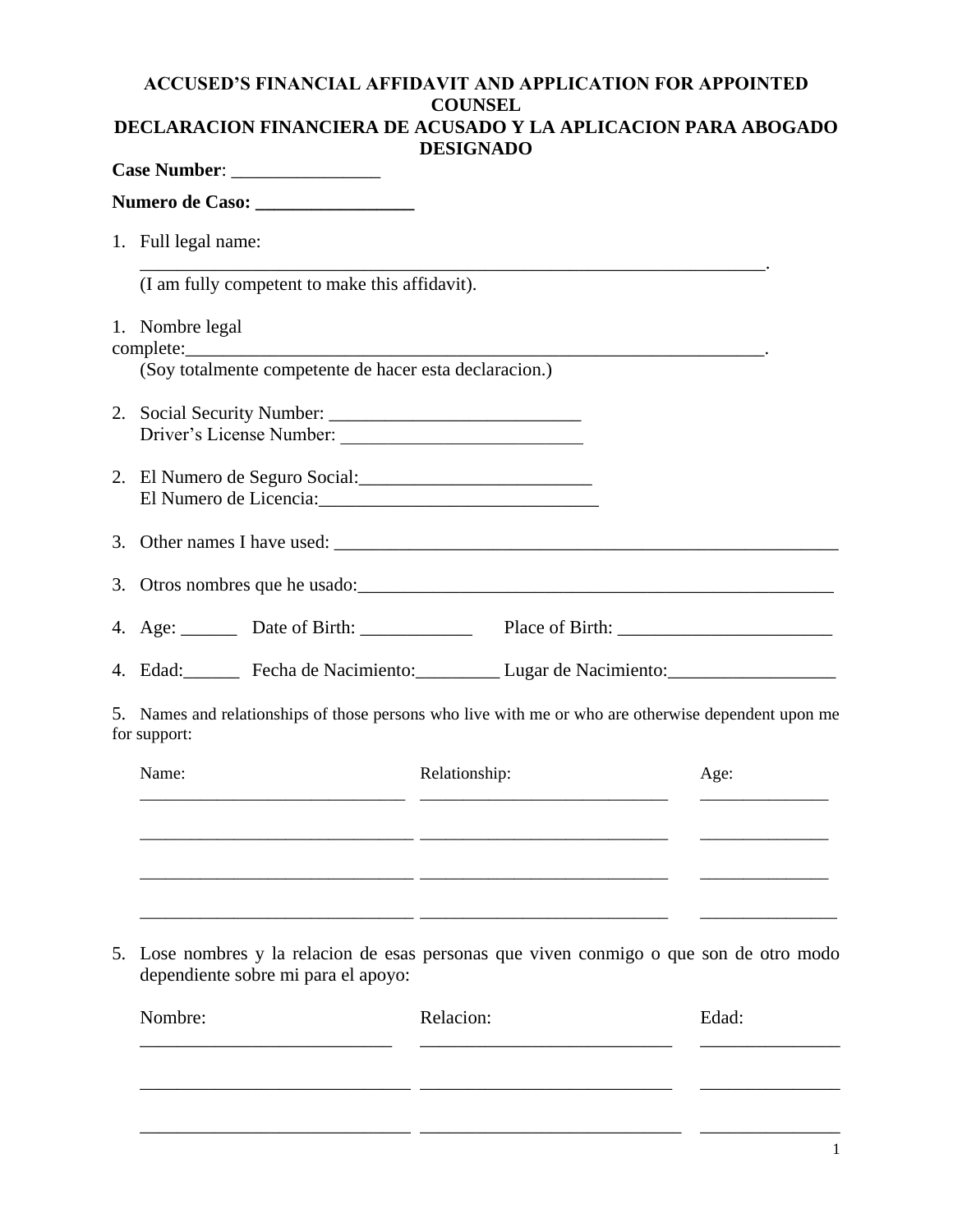## **ACCUSED'S FINANCIAL AFFIDAVIT AND APPLICATION FOR APPOINTED COUNSEL DECLARACION FINANCIERA DE ACUSADO Y LA APLICACION PARA ABOGADO**

| <b>DESIGNADO</b>                                                                                                                                                                                                                                                 |
|------------------------------------------------------------------------------------------------------------------------------------------------------------------------------------------------------------------------------------------------------------------|
|                                                                                                                                                                                                                                                                  |
| 1. Full legal name:                                                                                                                                                                                                                                              |
| (I am fully competent to make this affidavit).                                                                                                                                                                                                                   |
| 1. Nombre legal                                                                                                                                                                                                                                                  |
| (Soy totalmente competente de hacer esta declaracion.)                                                                                                                                                                                                           |
|                                                                                                                                                                                                                                                                  |
| 2. El Numero de Seguro Social:<br>El Numero de Licencia: 2000 anno 2010 anno 2010 anno 2010 anno 2010 anno 2010 anno 2010 anno 2010 anno 2010 anno 2010 anno 2010 anno 2010 anno 2010 anno 2010 anno 2010 anno 2010 anno 2010 anno 2010 anno 2010 anno 2010 anno |
|                                                                                                                                                                                                                                                                  |
| 3. Otros nombres que he usado:                                                                                                                                                                                                                                   |
| 4. Age: Date of Birth: Place of Birth: Place of Birth:                                                                                                                                                                                                           |
| 4. Edad: Fecha de Nacimiento: Lugar de Nacimiento: _____________________________                                                                                                                                                                                 |
| 5. Names and relationships of those persons who live with me or who are otherwise dependent upon me<br>for support:                                                                                                                                              |
| Relationship:<br>Name:<br>Age:                                                                                                                                                                                                                                   |

5. Lose nombres y la relacion de esas personas que viven conmigo o que son de otro modo dependiente sobre mi para el apoyo:

\_\_\_\_\_\_\_\_\_\_\_\_\_\_\_\_\_\_\_\_\_\_\_\_\_\_\_\_\_\_\_\_ \_\_\_\_\_\_\_\_\_\_\_\_\_\_\_\_\_\_\_\_\_\_\_\_\_\_\_\_\_ \_\_\_\_\_\_\_\_\_\_\_\_\_\_\_

\_\_\_\_\_\_\_\_\_\_\_\_\_\_\_\_\_\_\_\_\_\_\_\_\_\_\_\_\_\_\_\_ \_\_\_\_\_\_\_\_\_\_\_\_\_\_\_\_\_\_\_\_\_\_\_\_\_\_\_\_\_ \_\_\_\_\_\_\_\_\_\_\_\_\_\_\_

\_\_\_\_\_\_\_\_\_\_\_\_\_\_\_\_\_\_\_\_\_\_\_\_\_\_\_\_\_\_\_\_ \_\_\_\_\_\_\_\_\_\_\_\_\_\_\_\_\_\_\_\_\_\_\_\_\_\_\_\_\_ \_\_\_\_\_\_\_\_\_\_\_\_\_\_\_\_

| Nombre: | Relacion: | Edad: |
|---------|-----------|-------|
|         |           |       |
|         |           |       |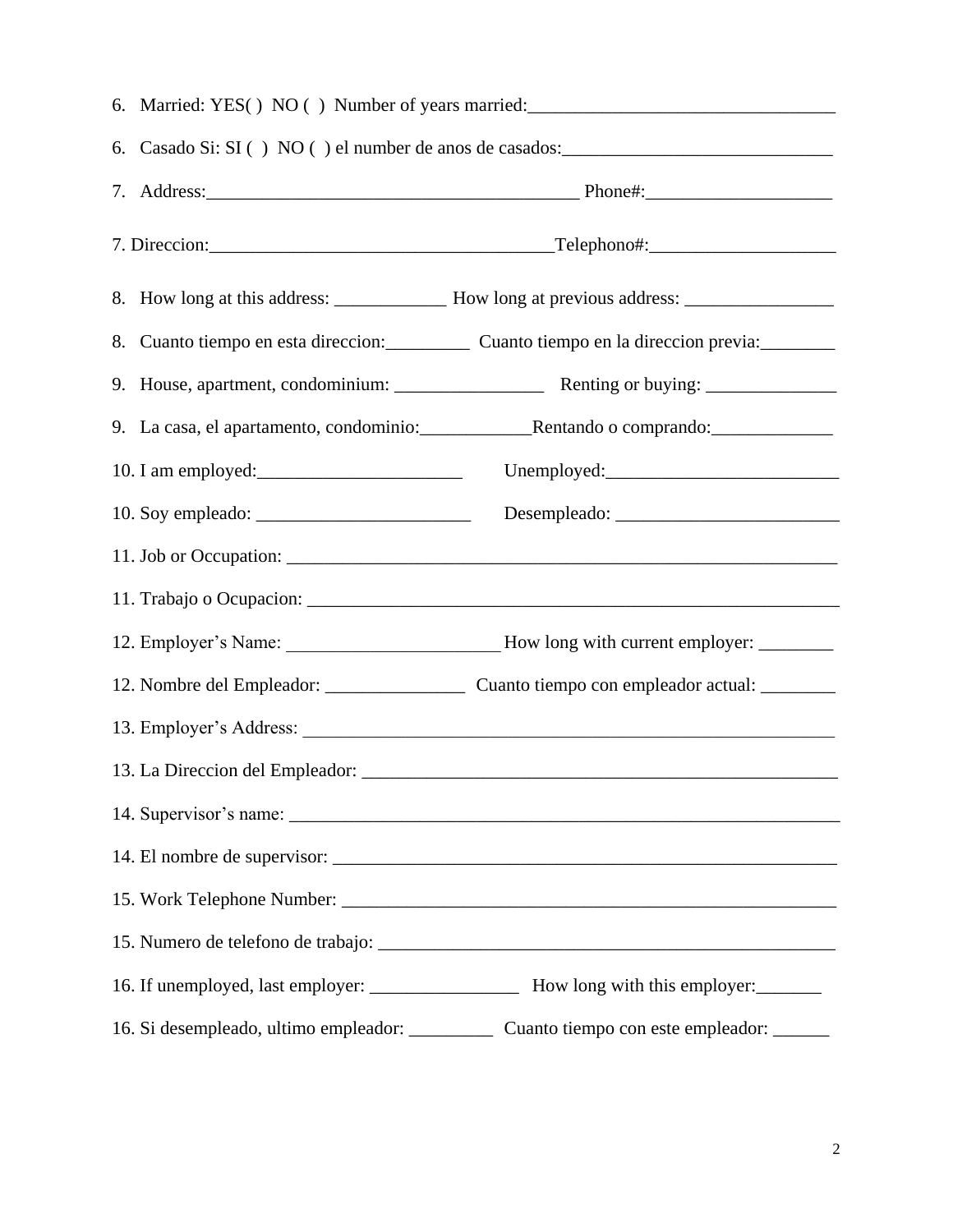| 6. Casado Si: SI () NO () el number de anos de casados: |                                                                                                     |  |
|---------------------------------------------------------|-----------------------------------------------------------------------------------------------------|--|
|                                                         |                                                                                                     |  |
|                                                         |                                                                                                     |  |
|                                                         |                                                                                                     |  |
|                                                         | 8. Cuanto tiempo en esta direccion: Cuanto tiempo en la direccion previa:                           |  |
|                                                         |                                                                                                     |  |
|                                                         |                                                                                                     |  |
|                                                         |                                                                                                     |  |
|                                                         |                                                                                                     |  |
|                                                         |                                                                                                     |  |
|                                                         |                                                                                                     |  |
|                                                         | 12. Employer's Name: _______________________________How long with current employer: _______________ |  |
|                                                         |                                                                                                     |  |
|                                                         | 13. Employer's Address:                                                                             |  |
|                                                         |                                                                                                     |  |
|                                                         |                                                                                                     |  |
|                                                         |                                                                                                     |  |
|                                                         |                                                                                                     |  |
|                                                         |                                                                                                     |  |
|                                                         |                                                                                                     |  |
| 16. Si desempleado, ultimo empleador: _________         | Cuanto tiempo con este empleador:                                                                   |  |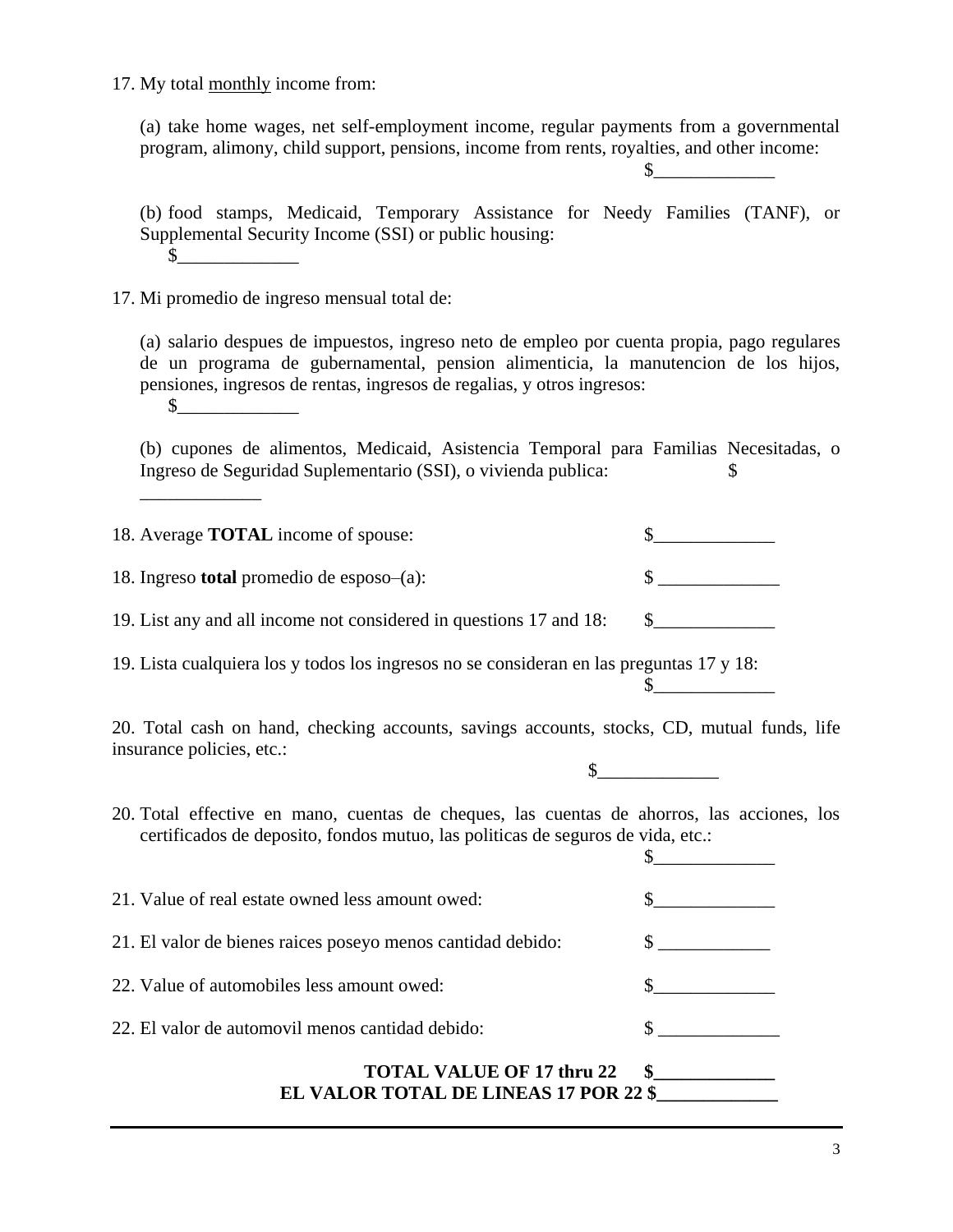## 17. My total monthly income from:

(a) take home wages, net self-employment income, regular payments from a governmental program, alimony, child support, pensions, income from rents, royalties, and other income:

 $\sim$ 

(b) food stamps, Medicaid, Temporary Assistance for Needy Families (TANF), or Supplemental Security Income (SSI) or public housing:  $\mathbb S$ 

17. Mi promedio de ingreso mensual total de:

\_\_\_\_\_\_\_\_\_\_\_\_\_

(a) salario despues de impuestos, ingreso neto de empleo por cuenta propia, pago regulares de un programa de gubernamental, pension alimenticia, la manutencion de los hijos, pensiones, ingresos de rentas, ingresos de regalias, y otros ingresos:  $\mathcal S$ 

(b) cupones de alimentos, Medicaid, Asistencia Temporal para Familias Necesitadas, o Ingreso de Seguridad Suplementario (SSI), o vivienda publica: \$

| 18. Average <b>TOTAL</b> income of spouse:                         |  |
|--------------------------------------------------------------------|--|
| 18. Ingreso <b>total</b> promedio de esposo- $(a)$ :               |  |
| 19. List any and all income not considered in questions 17 and 18: |  |

19. Lista cualquiera los y todos los ingresos no se consideran en las preguntas 17 y 18:  $\sim$ 

20. Total cash on hand, checking accounts, savings accounts, stocks, CD, mutual funds, life insurance policies, etc.:

 $\circ$ 

20. Total effective en mano, cuentas de cheques, las cuentas de ahorros, las acciones, los certificados de deposito, fondos mutuo, las politicas de seguros de vida, etc.:

| 21. Value of real estate owned less amount owed:                          |     |
|---------------------------------------------------------------------------|-----|
| 21. El valor de bienes raices poseyo menos cantidad debido:               |     |
| 22. Value of automobiles less amount owed:                                |     |
| 22. El valor de automovil menos cantidad debido:                          |     |
| <b>TOTAL VALUE OF 17 thru 22</b><br>EL VALOR TOTAL DE LINEAS 17 POR 22 \$ | SS. |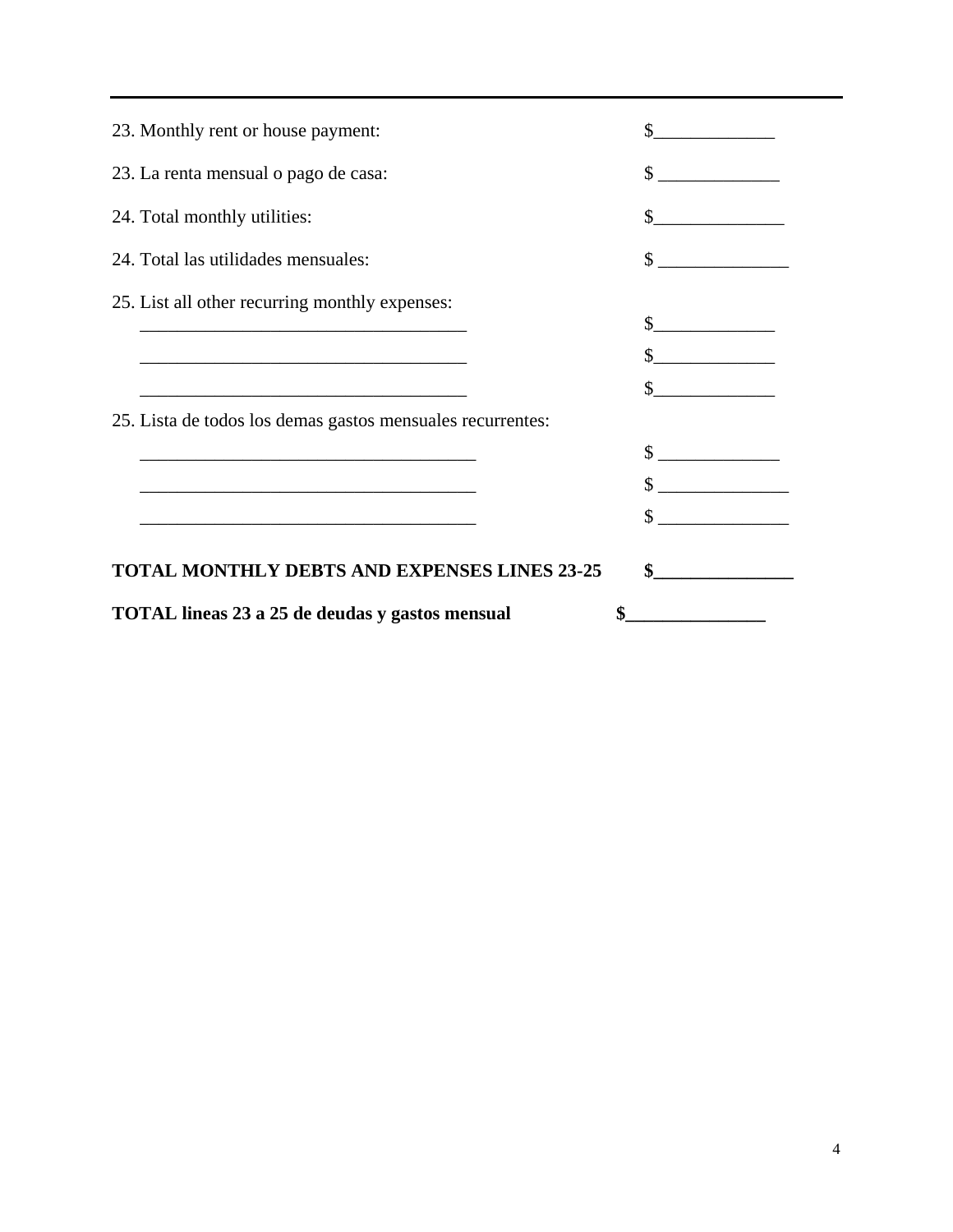| 23. Monthly rent or house payment:                         |                             |
|------------------------------------------------------------|-----------------------------|
| 23. La renta mensual o pago de casa:                       | \$                          |
| 24. Total monthly utilities:                               | $\sim$ $\sim$               |
| 24. Total las utilidades mensuales:                        | $\sim$                      |
| 25. List all other recurring monthly expenses:             |                             |
|                                                            | $\frac{\text{S}}{\text{S}}$ |
|                                                            | $\frac{\text{S}}{\text{S}}$ |
| 25. Lista de todos los demas gastos mensuales recurrentes: | $\frac{\text{S}}{\text{S}}$ |
|                                                            | $\sim$                      |
|                                                            |                             |
|                                                            |                             |
| <b>TOTAL MONTHLY DEBTS AND EXPENSES LINES 23-25</b>        | $\sim$ $\sim$               |
| <b>TOTAL lineas 23 a 25 de deudas y gastos mensual</b>     |                             |